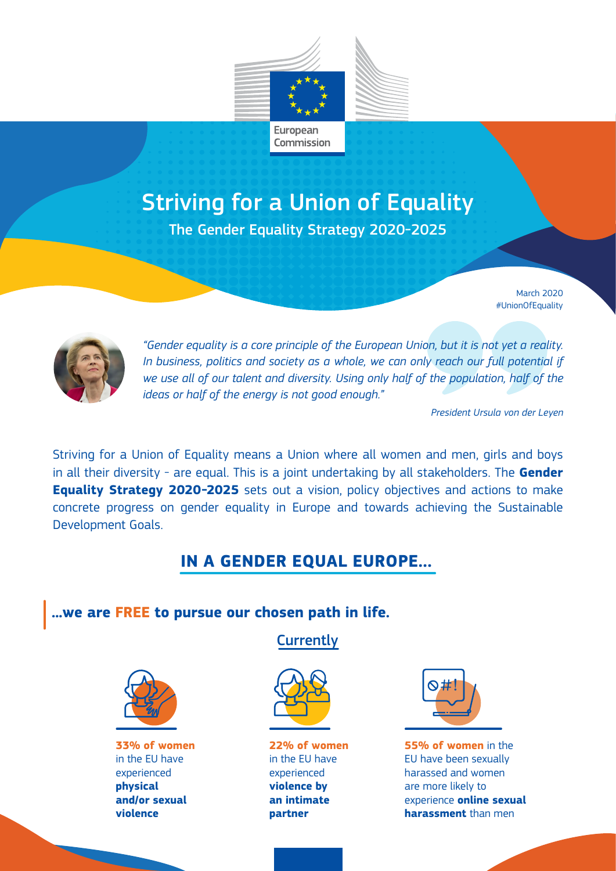

# Striving for a Union of Equality

The Gender Equality Strategy 2020-2025

March 2020 #UnionOfEquality



*"Gender equality is a core principle of the European Union, but it is not yet a reality.*  In business, politics and society as a whole, we can only reach our full potential if *we use all of our talent and diversity. Using only half of the population, half of the ideas or half of the energy is not good enough."* 

*President Ursula von der Leyen*

Striving for a Union of Equality means a Union where all women and men, girls and boys in all their diversity - are equal. This is a joint undertaking by all stakeholders. The **Gender Equality Strategy 2020-2025** sets out a vision, policy objectives and actions to make concrete progress on gender equality in Europe and towards achieving the Sustainable Development Goals.

## **IN A GENDER EQUAL EUROPE…**

## **...we are FREE to pursue our chosen path in life.**



**33% of women**  in the EU have experienced **physical and/or sexual violence**

**Currently** 



**22% of women**  in the EU have experienced **violence by an intimate partner**



**55% of women** in the EU have been sexually harassed and women are more likely to experience **online sexual harassment** than men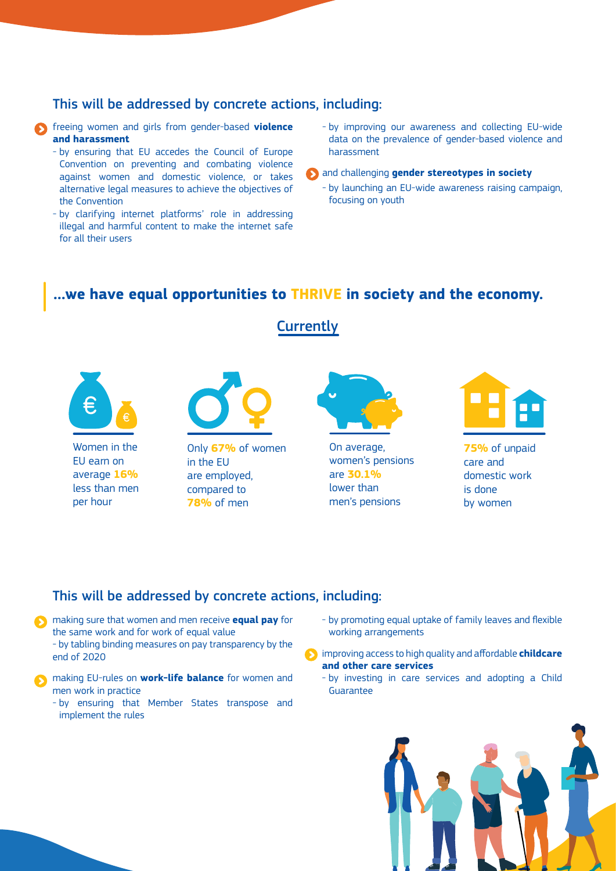#### This will be addressed by concrete actions, including:

- **S** freeing women and girls from gender-based **violence and harassment**
	- by ensuring that EU accedes the Council of Europe Convention on preventing and combating violence against women and domestic violence, or takes alternative legal measures to achieve the objectives of the Convention
	- by clarifying internet platforms' role in addressing illegal and harmful content to make the internet safe for all their users
- by improving our awareness and collecting EU-wide data on the prevalence of gender-based violence and harassment
- and challenging **gender stereotypes in society**
	- by launching an EU-wide awareness raising campaign, focusing on youth

## **…we have equal opportunities to THRIVE in society and the economy.**



#### This will be addressed by concrete actions, including:

**S** making sure that women and men receive **equal pay** for the same work and for work of equal value

- by tabling binding measures on pay transparency by the end of 2020
- **S** making EU-rules on **work-life balance** for women and men work in practice
	- by ensuring that Member States transpose and implement the rules
- by promoting equal uptake of family leaves and flexible working arrangements

improving access to high quality and affordable **childcare and other care services**

- by investing in care services and adopting a Child Guarantee